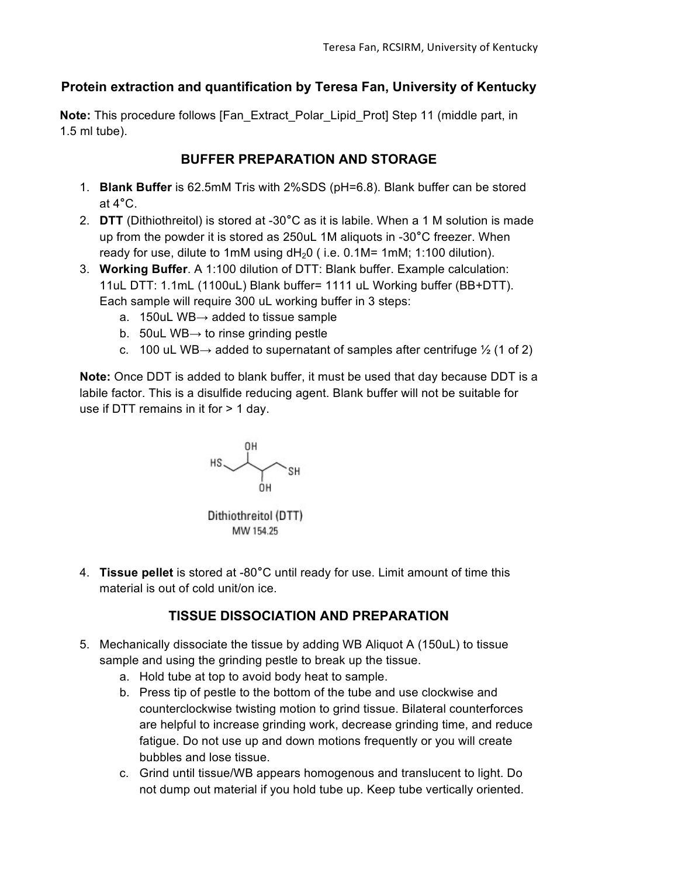## **Protein extraction and quantification by Teresa Fan, University of Kentucky**

**Note:** This procedure follows [Fan\_Extract\_Polar\_Lipid\_Prot] Step 11 (middle part, in 1.5 ml tube).

## **BUFFER PREPARATION AND STORAGE**

- 1. **Blank Buffer** is 62.5mM Tris with 2%SDS (pH=6.8). Blank buffer can be stored at 4**°**C.
- 2. **DTT** (Dithiothreitol) is stored at -30**°**C as it is labile. When a 1 M solution is made up from the powder it is stored as 250uL 1M aliquots in -30**°**C freezer. When ready for use, dilute to 1mM using  $dH<sub>2</sub>0$  (i.e. 0.1M= 1mM; 1:100 dilution).
- 3. **Working Buffer**. A 1:100 dilution of DTT: Blank buffer. Example calculation: 11uL DTT: 1.1mL (1100uL) Blank buffer= 1111 uL Working buffer (BB+DTT). Each sample will require 300 uL working buffer in 3 steps:
	- a. 150uL WB $\rightarrow$  added to tissue sample
	- b. 50uL WB $\rightarrow$  to rinse grinding pestle
	- c. 100 uL WB $\rightarrow$  added to supernatant of samples after centrifuge  $\frac{1}{2}$  (1 of 2)

**Note:** Once DDT is added to blank buffer, it must be used that day because DDT is a labile factor. This is a disulfide reducing agent. Blank buffer will not be suitable for use if DTT remains in it for > 1 day.



Dithiothreitol (DTT) MW 154.25

4. **Tissue pellet** is stored at -80**°**C until ready for use. Limit amount of time this material is out of cold unit/on ice.

# **TISSUE DISSOCIATION AND PREPARATION**

- 5. Mechanically dissociate the tissue by adding WB Aliquot A (150uL) to tissue sample and using the grinding pestle to break up the tissue.
	- a. Hold tube at top to avoid body heat to sample.
	- b. Press tip of pestle to the bottom of the tube and use clockwise and counterclockwise twisting motion to grind tissue. Bilateral counterforces are helpful to increase grinding work, decrease grinding time, and reduce fatigue. Do not use up and down motions frequently or you will create bubbles and lose tissue.
	- c. Grind until tissue/WB appears homogenous and translucent to light. Do not dump out material if you hold tube up. Keep tube vertically oriented.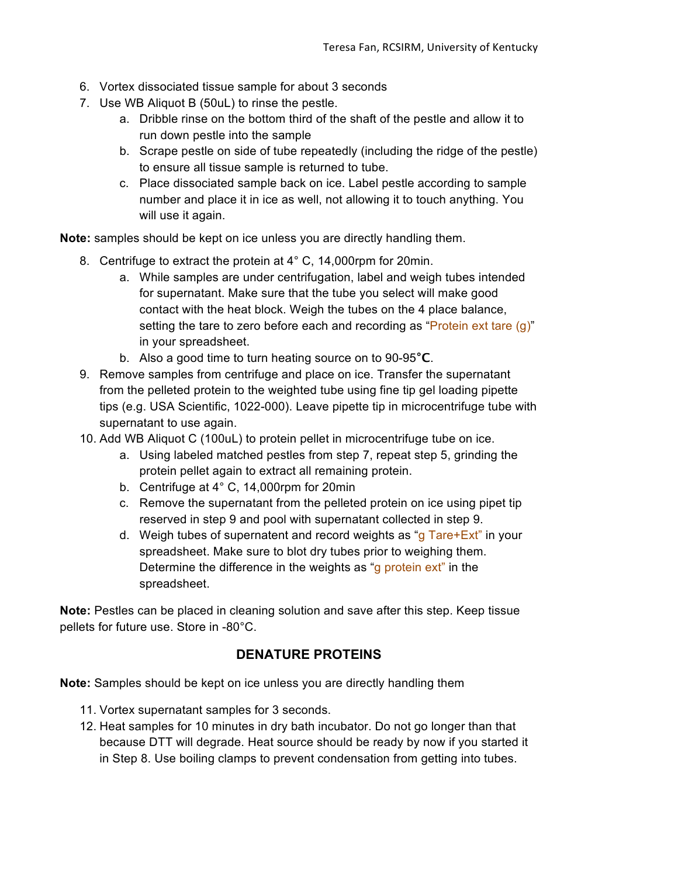- 6. Vortex dissociated tissue sample for about 3 seconds
- 7. Use WB Aliquot B (50uL) to rinse the pestle.
	- a. Dribble rinse on the bottom third of the shaft of the pestle and allow it to run down pestle into the sample
	- b. Scrape pestle on side of tube repeatedly (including the ridge of the pestle) to ensure all tissue sample is returned to tube.
	- c. Place dissociated sample back on ice. Label pestle according to sample number and place it in ice as well, not allowing it to touch anything. You will use it again.

**Note:** samples should be kept on ice unless you are directly handling them.

- 8. Centrifuge to extract the protein at 4° C, 14,000rpm for 20min.
	- a. While samples are under centrifugation, label and weigh tubes intended for supernatant. Make sure that the tube you select will make good contact with the heat block. Weigh the tubes on the 4 place balance, setting the tare to zero before each and recording as "Protein ext tare (g)" in your spreadsheet.
	- b. Also a good time to turn heating source on to 90-95**°C**.
- 9. Remove samples from centrifuge and place on ice. Transfer the supernatant from the pelleted protein to the weighted tube using fine tip gel loading pipette tips (e.g. USA Scientific, 1022-000). Leave pipette tip in microcentrifuge tube with supernatant to use again.
- 10. Add WB Aliquot C (100uL) to protein pellet in microcentrifuge tube on ice.
	- a. Using labeled matched pestles from step 7, repeat step 5, grinding the protein pellet again to extract all remaining protein.
	- b. Centrifuge at 4° C, 14,000rpm for 20min
	- c. Remove the supernatant from the pelleted protein on ice using pipet tip reserved in step 9 and pool with supernatant collected in step 9.
	- d. Weigh tubes of supernatent and record weights as "g  $Tare+Ext$ " in your spreadsheet. Make sure to blot dry tubes prior to weighing them. Determine the difference in the weights as "q protein ext" in the spreadsheet.

**Note:** Pestles can be placed in cleaning solution and save after this step. Keep tissue pellets for future use. Store in -80°C.

#### **DENATURE PROTEINS**

**Note:** Samples should be kept on ice unless you are directly handling them

- 11. Vortex supernatant samples for 3 seconds.
- 12. Heat samples for 10 minutes in dry bath incubator. Do not go longer than that because DTT will degrade. Heat source should be ready by now if you started it in Step 8. Use boiling clamps to prevent condensation from getting into tubes.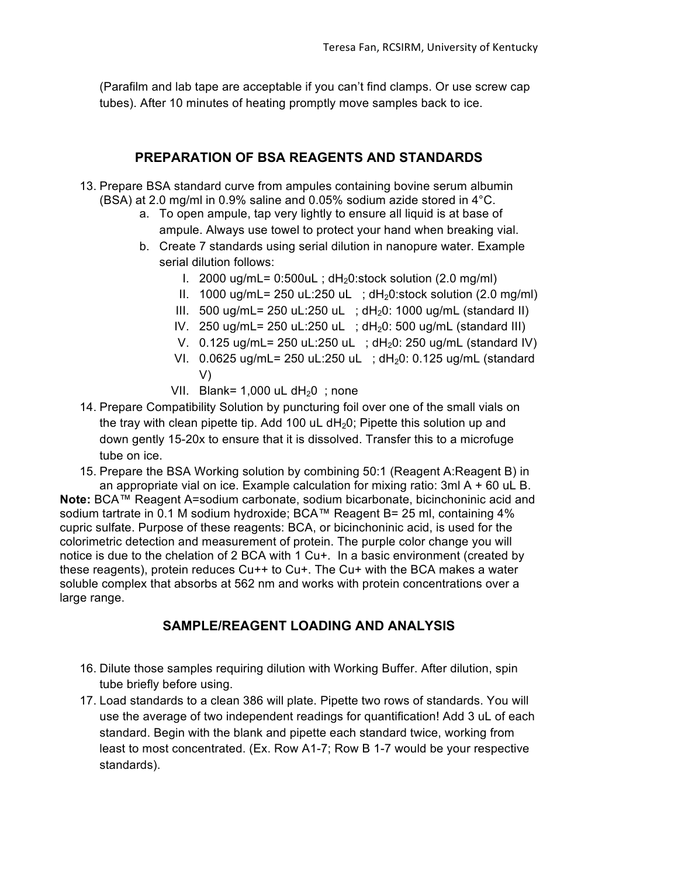(Parafilm and lab tape are acceptable if you can't find clamps. Or use screw cap tubes). After 10 minutes of heating promptly move samples back to ice.

#### **PREPARATION OF BSA REAGENTS AND STANDARDS**

- 13. Prepare BSA standard curve from ampules containing bovine serum albumin (BSA) at 2.0 mg/ml in 0.9% saline and 0.05% sodium azide stored in 4°C.
	- a. To open ampule, tap very lightly to ensure all liquid is at base of ampule. Always use towel to protect your hand when breaking vial.
	- b. Create 7 standards using serial dilution in nanopure water. Example serial dilution follows:
		- I. 2000 ug/mL=  $0.500$ uL; dH<sub>2</sub>0:stock solution (2.0 mg/ml)
		- II.  $1000 \text{ uq/mL} = 250 \text{ uL}:250 \text{ uL}$ ;  $dH_20:\text{stock solution}$  (2.0 mg/ml)
		- III. 500 ug/mL= 250 uL:250 uL ;  $dH<sub>2</sub>0$ : 1000 ug/mL (standard II)
		- IV. 250 ug/mL= 250 uL:250 uL ;  $dH<sub>2</sub>0$ : 500 ug/mL (standard III)
		- V.  $0.125 \text{ ug/mL} = 250 \text{ uL}:250 \text{ uL}$ ;  $dH_20:250 \text{ ug/mL}$  (standard IV)
		- VI.  $0.0625$  ug/mL= 250 uL:250 uL ; dH<sub>2</sub>0: 0.125 ug/mL (standard V)
		- VII. Blank=  $1,000$  uL dH<sub>2</sub>0 ; none
- 14. Prepare Compatibility Solution by puncturing foil over one of the small vials on the tray with clean pipette tip. Add 100 uL  $dH_2O$ ; Pipette this solution up and down gently 15-20x to ensure that it is dissolved. Transfer this to a microfuge tube on ice.
- 15. Prepare the BSA Working solution by combining 50:1 (Reagent A:Reagent B) in an appropriate vial on ice. Example calculation for mixing ratio:  $3ml A + 60 ul B$ .

**Note:** BCA™ Reagent A=sodium carbonate, sodium bicarbonate, bicinchoninic acid and sodium tartrate in 0.1 M sodium hydroxide; BCA™ Reagent B= 25 ml, containing 4% cupric sulfate. Purpose of these reagents: BCA, or bicinchoninic acid, is used for the colorimetric detection and measurement of protein. The purple color change you will notice is due to the chelation of 2 BCA with 1 Cu+. In a basic environment (created by these reagents), protein reduces Cu++ to Cu+. The Cu+ with the BCA makes a water soluble complex that absorbs at 562 nm and works with protein concentrations over a large range.

#### **SAMPLE/REAGENT LOADING AND ANALYSIS**

- 16. Dilute those samples requiring dilution with Working Buffer. After dilution, spin tube briefly before using.
- 17. Load standards to a clean 386 will plate. Pipette two rows of standards. You will use the average of two independent readings for quantification! Add 3 uL of each standard. Begin with the blank and pipette each standard twice, working from least to most concentrated. (Ex. Row A1-7; Row B 1-7 would be your respective standards).